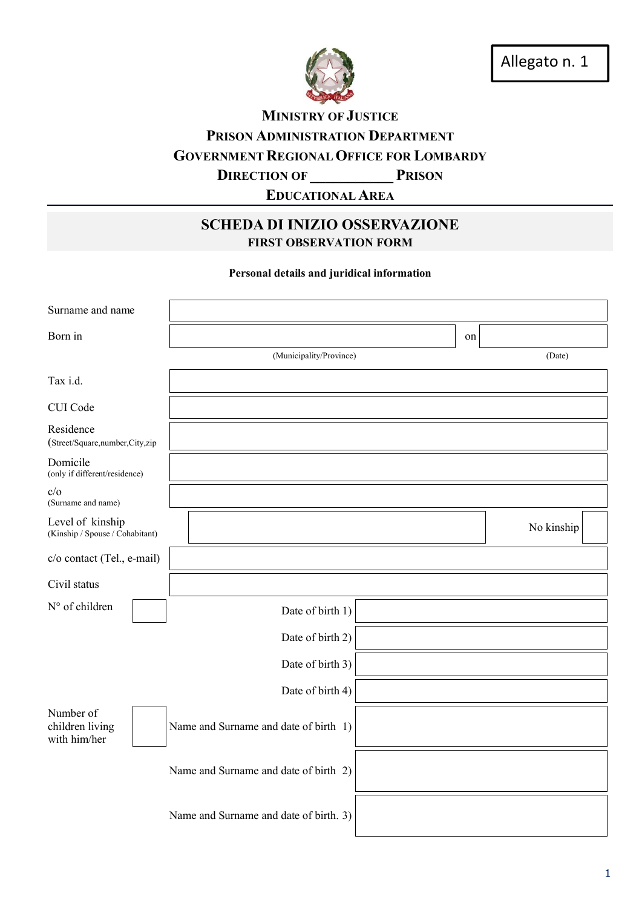

**MINISTRY OF JUSTICE** PRISON ADMINISTRATION DEPARTMENT GOVERNMENT REGIONAL OFFICE FOR LOMBARDY **DIRECTION OF PRISON** 

EDUCATIONAL AREA

## SCHEDA DI INIZIO OSSERVAZIONE FIRST OBSERVATION FORM

Personal details and juridical information

| Surname and name                                    |  |                                        |    |            |
|-----------------------------------------------------|--|----------------------------------------|----|------------|
| Born in                                             |  |                                        | on |            |
|                                                     |  | (Municipality/Province)                |    | (Date)     |
| Tax i.d.                                            |  |                                        |    |            |
| CUI Code                                            |  |                                        |    |            |
| Residence<br>(Street/Square,number,City,zip         |  |                                        |    |            |
| Domicile<br>(only if different/residence)           |  |                                        |    |            |
| c/o<br>(Surname and name)                           |  |                                        |    |            |
| Level of kinship<br>(Kinship / Spouse / Cohabitant) |  |                                        |    | No kinship |
| c/o contact (Tel., e-mail)                          |  |                                        |    |            |
| Civil status                                        |  |                                        |    |            |
| N° of children                                      |  | Date of birth 1)                       |    |            |
|                                                     |  | Date of birth 2)                       |    |            |
|                                                     |  | Date of birth 3)                       |    |            |
|                                                     |  | Date of birth 4)                       |    |            |
| Number of<br>children living<br>with him/her        |  | Name and Surname and date of birth 1)  |    |            |
|                                                     |  | Name and Surname and date of birth 2)  |    |            |
|                                                     |  | Name and Surname and date of birth. 3) |    |            |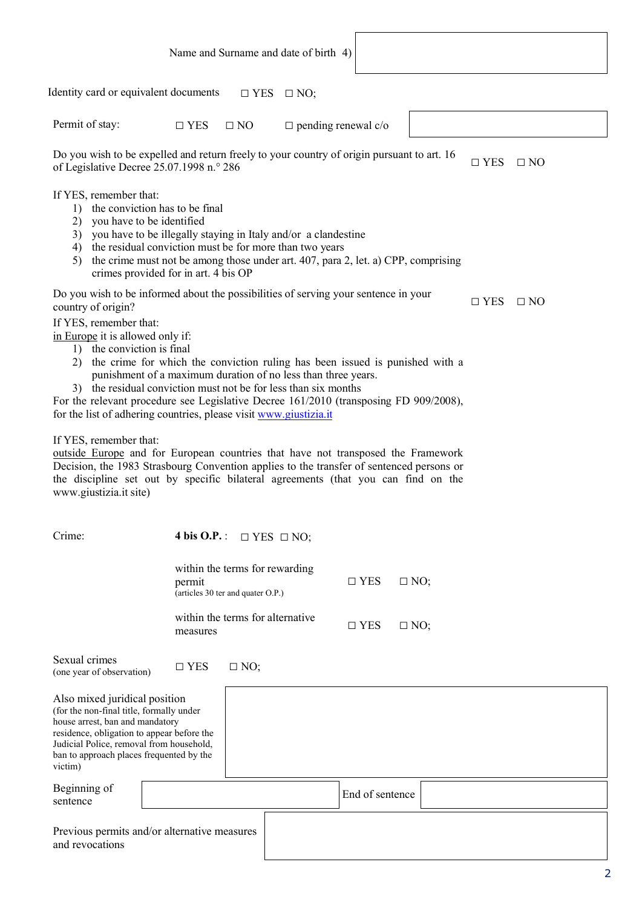|                                                                                                                                                                                                                                                                                                                                                                                                                                                                                                                                                                                                                                                                                                                                                                                                     | Name and Surname and date of birth 4)                                                                                                                                                               |                                                                                            |            |           |
|-----------------------------------------------------------------------------------------------------------------------------------------------------------------------------------------------------------------------------------------------------------------------------------------------------------------------------------------------------------------------------------------------------------------------------------------------------------------------------------------------------------------------------------------------------------------------------------------------------------------------------------------------------------------------------------------------------------------------------------------------------------------------------------------------------|-----------------------------------------------------------------------------------------------------------------------------------------------------------------------------------------------------|--------------------------------------------------------------------------------------------|------------|-----------|
| Identity card or equivalent documents                                                                                                                                                                                                                                                                                                                                                                                                                                                                                                                                                                                                                                                                                                                                                               |                                                                                                                                                                                                     | $\Box$ YES $\Box$ NO;                                                                      |            |           |
| Permit of stay:                                                                                                                                                                                                                                                                                                                                                                                                                                                                                                                                                                                                                                                                                                                                                                                     | $\Box$ YES<br>$\Box$ NO                                                                                                                                                                             | $\Box$ pending renewal c/o                                                                 |            |           |
| of Legislative Decree 25.07.1998 n.º 286                                                                                                                                                                                                                                                                                                                                                                                                                                                                                                                                                                                                                                                                                                                                                            |                                                                                                                                                                                                     | Do you wish to be expelled and return freely to your country of origin pursuant to art. 16 | $\Box$ YES | $\Box$ NO |
| If YES, remember that:<br>1)<br>you have to be identified<br>2)<br>3)<br>4)<br>5)                                                                                                                                                                                                                                                                                                                                                                                                                                                                                                                                                                                                                                                                                                                   | the conviction has to be final<br>you have to be illegally staying in Italy and/or a clandestine<br>the residual conviction must be for more than two years<br>crimes provided for in art. 4 bis OP | the crime must not be among those under art. 407, para 2, let. a) CPP, comprising          |            |           |
| country of origin?                                                                                                                                                                                                                                                                                                                                                                                                                                                                                                                                                                                                                                                                                                                                                                                  |                                                                                                                                                                                                     | Do you wish to be informed about the possibilities of serving your sentence in your        | $\Box$ YES | $\Box$ NO |
| If YES, remember that:<br>in Europe it is allowed only if:<br>1) the conviction is final<br>the crime for which the conviction ruling has been issued is punished with a<br>punishment of a maximum duration of no less than three years.<br>3) the residual conviction must not be for less than six months<br>For the relevant procedure see Legislative Decree 161/2010 (transposing FD 909/2008),<br>for the list of adhering countries, please visit www.giustizia.it<br>If YES, remember that:<br>outside Europe and for European countries that have not transposed the Framework<br>Decision, the 1983 Strasbourg Convention applies to the transfer of sentenced persons or<br>the discipline set out by specific bilateral agreements (that you can find on the<br>www.giustizia.it site) |                                                                                                                                                                                                     |                                                                                            |            |           |
| Crime:                                                                                                                                                                                                                                                                                                                                                                                                                                                                                                                                                                                                                                                                                                                                                                                              | 4 bis O.P.: $\Box$ YES $\Box$ NO;                                                                                                                                                                   |                                                                                            |            |           |
|                                                                                                                                                                                                                                                                                                                                                                                                                                                                                                                                                                                                                                                                                                                                                                                                     | within the terms for rewarding<br>permit<br>(articles 30 ter and quater O.P.)                                                                                                                       | $\Box$ YES<br>$\Box$ NO;                                                                   |            |           |
|                                                                                                                                                                                                                                                                                                                                                                                                                                                                                                                                                                                                                                                                                                                                                                                                     | within the terms for alternative<br>measures                                                                                                                                                        | $\square$ YES<br>$\Box$ NO;                                                                |            |           |
| Sexual crimes<br>(one year of observation)                                                                                                                                                                                                                                                                                                                                                                                                                                                                                                                                                                                                                                                                                                                                                          | $\square$ YES<br>$\Box$ NO;                                                                                                                                                                         |                                                                                            |            |           |
| Also mixed juridical position<br>(for the non-final title, formally under<br>house arrest, ban and mandatory<br>residence, obligation to appear before the<br>Judicial Police, removal from household,<br>ban to approach places frequented by the<br>victim)                                                                                                                                                                                                                                                                                                                                                                                                                                                                                                                                       |                                                                                                                                                                                                     |                                                                                            |            |           |
| Beginning of<br>sentence                                                                                                                                                                                                                                                                                                                                                                                                                                                                                                                                                                                                                                                                                                                                                                            |                                                                                                                                                                                                     | End of sentence                                                                            |            |           |
| Previous permits and/or alternative measures<br>and revocations                                                                                                                                                                                                                                                                                                                                                                                                                                                                                                                                                                                                                                                                                                                                     |                                                                                                                                                                                                     |                                                                                            |            |           |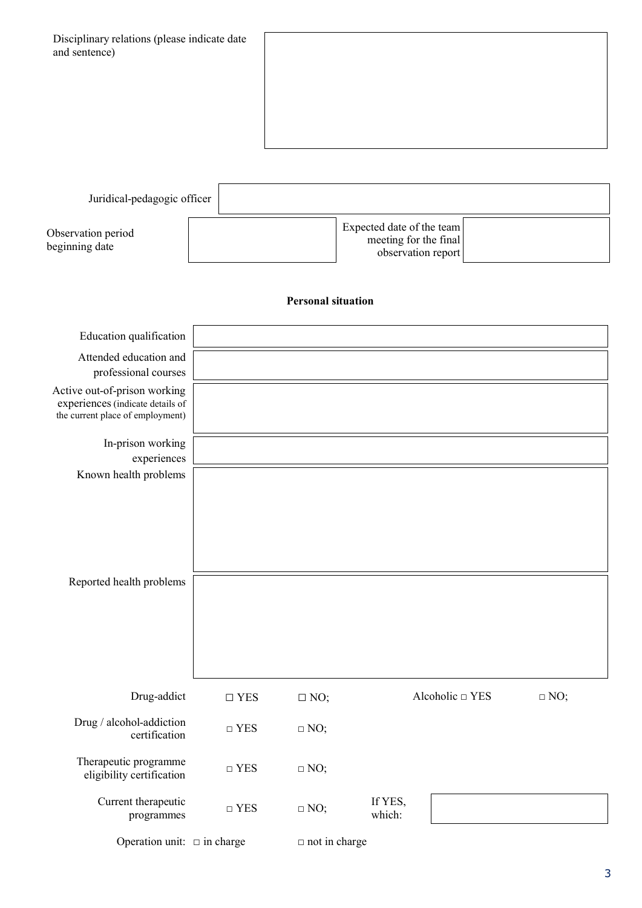| Disciplinary relations (please indicate date<br>and sentence)                                        |                     |                           |                                                                          |            |
|------------------------------------------------------------------------------------------------------|---------------------|---------------------------|--------------------------------------------------------------------------|------------|
| Juridical-pedagogic officer                                                                          |                     |                           |                                                                          |            |
| Observation period<br>beginning date                                                                 |                     |                           | Expected date of the team<br>meeting for the final<br>observation report |            |
|                                                                                                      |                     | <b>Personal situation</b> |                                                                          |            |
| Education qualification                                                                              |                     |                           |                                                                          |            |
| Attended education and<br>professional courses                                                       |                     |                           |                                                                          |            |
| Active out-of-prison working<br>experiences (indicate details of<br>the current place of employment) |                     |                           |                                                                          |            |
| In-prison working<br>experiences                                                                     |                     |                           |                                                                          |            |
| Known health problems                                                                                |                     |                           |                                                                          |            |
| Reported health problems                                                                             |                     |                           |                                                                          |            |
| Drug-addict                                                                                          | $\Box$ YES          | $\Box$ NO;                | Alcoholic □ YES                                                          | $\Box$ NO; |
| Drug / alcohol-addiction<br>certification                                                            | $\hfill\Box$<br>YES | $\Box$ NO;                |                                                                          |            |
| Therapeutic programme<br>eligibility certification                                                   | $\hfill\Box$ YES    | $\Box$ NO;                |                                                                          |            |
| Current therapeutic<br>programmes                                                                    | $\hfill\Box$<br>YES | $\Box$ NO;                | If YES,<br>which:                                                        |            |
| Operation unit: $\Box$ in charge                                                                     |                     | $\Box$ not in charge      |                                                                          |            |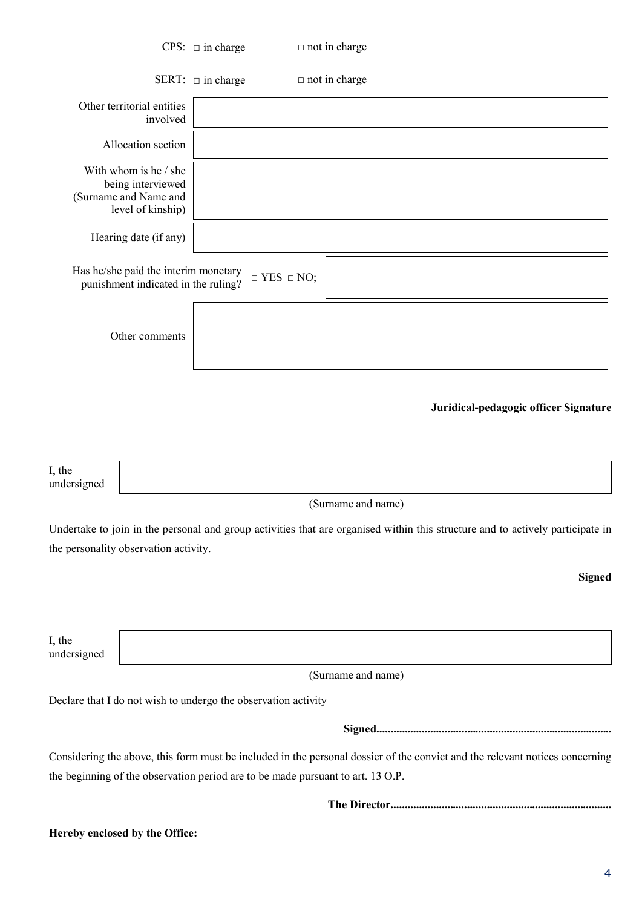|                                       |                                                                                          | CPS: $\Box$ in charge                                                           | $\Box$ not in charge                                                                                                           |
|---------------------------------------|------------------------------------------------------------------------------------------|---------------------------------------------------------------------------------|--------------------------------------------------------------------------------------------------------------------------------|
|                                       |                                                                                          | SERT: $\Box$ in charge                                                          | $\Box$ not in charge                                                                                                           |
|                                       | Other territorial entities<br>involved                                                   |                                                                                 |                                                                                                                                |
|                                       | Allocation section                                                                       |                                                                                 |                                                                                                                                |
|                                       | With whom is he / she<br>being interviewed<br>(Surname and Name and<br>level of kinship) |                                                                                 |                                                                                                                                |
|                                       | Hearing date (if any)                                                                    |                                                                                 |                                                                                                                                |
|                                       | Has he/she paid the interim monetary<br>punishment indicated in the ruling?              | $\Box$ YES $\Box$ NO;                                                           |                                                                                                                                |
|                                       | Other comments                                                                           |                                                                                 |                                                                                                                                |
|                                       |                                                                                          |                                                                                 | Juridical-pedagogic officer Signature                                                                                          |
| I, the<br>undersigned                 |                                                                                          |                                                                                 |                                                                                                                                |
|                                       |                                                                                          |                                                                                 | (Surname and name)                                                                                                             |
| the personality observation activity. |                                                                                          |                                                                                 | Undertake to join in the personal and group activities that are organised within this structure and to actively participate in |
|                                       |                                                                                          |                                                                                 | <b>Signed</b>                                                                                                                  |
|                                       |                                                                                          |                                                                                 |                                                                                                                                |
| I, the<br>undersigned                 |                                                                                          |                                                                                 |                                                                                                                                |
|                                       |                                                                                          |                                                                                 | (Surname and name)                                                                                                             |
|                                       |                                                                                          | Declare that I do not wish to undergo the observation activity                  |                                                                                                                                |
|                                       |                                                                                          |                                                                                 |                                                                                                                                |
|                                       |                                                                                          | the beginning of the observation period are to be made pursuant to art. 13 O.P. | Considering the above, this form must be included in the personal dossier of the convict and the relevant notices concerning   |
|                                       |                                                                                          |                                                                                 |                                                                                                                                |
| Hereby enclosed by the Office:        |                                                                                          |                                                                                 |                                                                                                                                |
|                                       |                                                                                          |                                                                                 |                                                                                                                                |